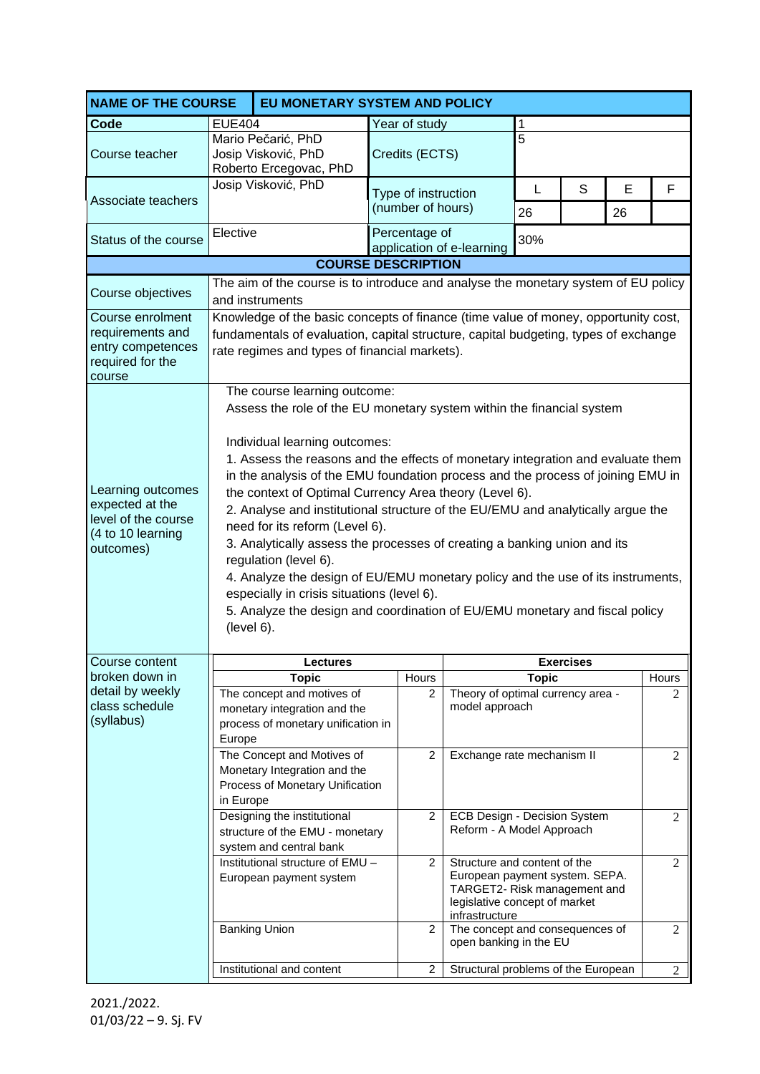| <b>NAME OF THE COURSE</b>                                                                     | EU MONETARY SYSTEM AND POLICY                                                                                                                                                                                                                                                                                                                                                                                                                                                                                                                                                                                                                                                                                                                                                                                                  |                                                                                                  |                                                   |   |                                                                                                                                                   |                                 |   |                |                |
|-----------------------------------------------------------------------------------------------|--------------------------------------------------------------------------------------------------------------------------------------------------------------------------------------------------------------------------------------------------------------------------------------------------------------------------------------------------------------------------------------------------------------------------------------------------------------------------------------------------------------------------------------------------------------------------------------------------------------------------------------------------------------------------------------------------------------------------------------------------------------------------------------------------------------------------------|--------------------------------------------------------------------------------------------------|---------------------------------------------------|---|---------------------------------------------------------------------------------------------------------------------------------------------------|---------------------------------|---|----------------|----------------|
| Code                                                                                          | <b>EUE404</b>                                                                                                                                                                                                                                                                                                                                                                                                                                                                                                                                                                                                                                                                                                                                                                                                                  |                                                                                                  | Year of study                                     |   |                                                                                                                                                   | 1                               |   |                |                |
| Course teacher                                                                                |                                                                                                                                                                                                                                                                                                                                                                                                                                                                                                                                                                                                                                                                                                                                                                                                                                | Mario Pečarić, PhD<br>Josip Visković, PhD<br>Roberto Ercegovac, PhD                              | Credits (ECTS)                                    |   |                                                                                                                                                   | $\overline{5}$                  |   |                |                |
| Associate teachers                                                                            |                                                                                                                                                                                                                                                                                                                                                                                                                                                                                                                                                                                                                                                                                                                                                                                                                                | Josip Visković, PhD                                                                              | Type of instruction<br>(number of hours)          |   |                                                                                                                                                   | L<br>26                         | S | E<br>26        | F              |
| Status of the course                                                                          | Elective                                                                                                                                                                                                                                                                                                                                                                                                                                                                                                                                                                                                                                                                                                                                                                                                                       |                                                                                                  | Percentage of<br>30%<br>application of e-learning |   |                                                                                                                                                   |                                 |   |                |                |
|                                                                                               | <b>COURSE DESCRIPTION</b>                                                                                                                                                                                                                                                                                                                                                                                                                                                                                                                                                                                                                                                                                                                                                                                                      |                                                                                                  |                                                   |   |                                                                                                                                                   |                                 |   |                |                |
| Course objectives                                                                             | The aim of the course is to introduce and analyse the monetary system of EU policy<br>and instruments                                                                                                                                                                                                                                                                                                                                                                                                                                                                                                                                                                                                                                                                                                                          |                                                                                                  |                                                   |   |                                                                                                                                                   |                                 |   |                |                |
| Course enrolment<br>requirements and<br>entry competences<br>required for the<br>course       | Knowledge of the basic concepts of finance (time value of money, opportunity cost,<br>fundamentals of evaluation, capital structure, capital budgeting, types of exchange<br>rate regimes and types of financial markets).                                                                                                                                                                                                                                                                                                                                                                                                                                                                                                                                                                                                     |                                                                                                  |                                                   |   |                                                                                                                                                   |                                 |   |                |                |
| Learning outcomes<br>expected at the<br>level of the course<br>(4 to 10 learning<br>outcomes) | The course learning outcome:<br>Assess the role of the EU monetary system within the financial system<br>Individual learning outcomes:<br>1. Assess the reasons and the effects of monetary integration and evaluate them<br>in the analysis of the EMU foundation process and the process of joining EMU in<br>the context of Optimal Currency Area theory (Level 6).<br>2. Analyse and institutional structure of the EU/EMU and analytically argue the<br>need for its reform (Level 6).<br>3. Analytically assess the processes of creating a banking union and its<br>regulation (level 6).<br>4. Analyze the design of EU/EMU monetary policy and the use of its instruments,<br>especially in crisis situations (level 6).<br>5. Analyze the design and coordination of EU/EMU monetary and fiscal policy<br>(level 6). |                                                                                                  |                                                   |   |                                                                                                                                                   |                                 |   |                |                |
| Course content                                                                                |                                                                                                                                                                                                                                                                                                                                                                                                                                                                                                                                                                                                                                                                                                                                                                                                                                | Lectures                                                                                         | <b>Exercises</b>                                  |   |                                                                                                                                                   |                                 |   |                |                |
| broken down in                                                                                |                                                                                                                                                                                                                                                                                                                                                                                                                                                                                                                                                                                                                                                                                                                                                                                                                                | <b>Topic</b>                                                                                     | Hours                                             |   |                                                                                                                                                   | <b>Topic</b>                    |   |                | Hours          |
| detail by weekly<br>class schedule<br>(syllabus)                                              | Europe                                                                                                                                                                                                                                                                                                                                                                                                                                                                                                                                                                                                                                                                                                                                                                                                                         | The concept and motives of<br>monetary integration and the<br>process of monetary unification in |                                                   | 2 | Theory of optimal currency area -<br>model approach                                                                                               |                                 |   |                | 2              |
|                                                                                               | The Concept and Motives of<br>Monetary Integration and the<br>Process of Monetary Unification<br>in Europe                                                                                                                                                                                                                                                                                                                                                                                                                                                                                                                                                                                                                                                                                                                     |                                                                                                  |                                                   | 2 |                                                                                                                                                   | Exchange rate mechanism II      |   |                | $\overline{c}$ |
|                                                                                               | Designing the institutional<br>structure of the EMU - monetary<br>system and central bank                                                                                                                                                                                                                                                                                                                                                                                                                                                                                                                                                                                                                                                                                                                                      |                                                                                                  |                                                   | 2 | ECB Design - Decision System<br>Reform - A Model Approach                                                                                         |                                 |   | $\overline{c}$ |                |
|                                                                                               | Institutional structure of EMU -<br>European payment system                                                                                                                                                                                                                                                                                                                                                                                                                                                                                                                                                                                                                                                                                                                                                                    |                                                                                                  |                                                   | 2 | Structure and content of the<br>European payment system. SEPA.<br>TARGET2- Risk management and<br>legislative concept of market<br>infrastructure |                                 |   | $\overline{2}$ |                |
|                                                                                               | <b>Banking Union</b>                                                                                                                                                                                                                                                                                                                                                                                                                                                                                                                                                                                                                                                                                                                                                                                                           |                                                                                                  |                                                   | 2 | open banking in the EU                                                                                                                            | The concept and consequences of |   | $\mathfrak{2}$ |                |
|                                                                                               | Institutional and content                                                                                                                                                                                                                                                                                                                                                                                                                                                                                                                                                                                                                                                                                                                                                                                                      |                                                                                                  | $\overline{c}$                                    |   | Structural problems of the European<br>$\overline{2}$                                                                                             |                                 |   |                |                |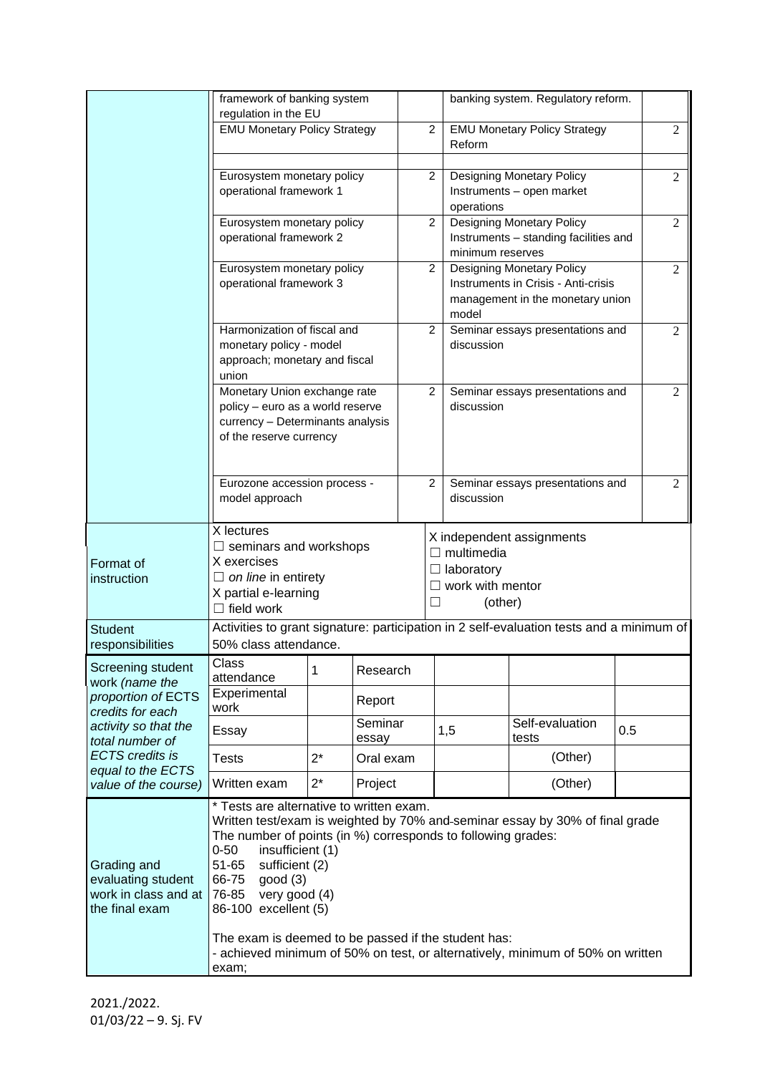|                                                                                                                                                                                                 | framework of banking system<br>regulation in the EU                                                                                                                                                                                                                                                                         |       |                    |  |                |                                                                                                                      | banking system. Regulatory reform. |  |                |  |
|-------------------------------------------------------------------------------------------------------------------------------------------------------------------------------------------------|-----------------------------------------------------------------------------------------------------------------------------------------------------------------------------------------------------------------------------------------------------------------------------------------------------------------------------|-------|--------------------|--|----------------|----------------------------------------------------------------------------------------------------------------------|------------------------------------|--|----------------|--|
|                                                                                                                                                                                                 | <b>EMU Monetary Policy Strategy</b>                                                                                                                                                                                                                                                                                         |       |                    |  | $\overline{c}$ | <b>EMU Monetary Policy Strategy</b><br>Reform                                                                        |                                    |  | $\overline{2}$ |  |
|                                                                                                                                                                                                 | Eurosystem monetary policy<br>operational framework 1                                                                                                                                                                                                                                                                       |       |                    |  | $\overline{c}$ | Designing Monetary Policy<br>Instruments - open market<br>operations                                                 |                                    |  | $\overline{2}$ |  |
|                                                                                                                                                                                                 | Eurosystem monetary policy<br>operational framework 2                                                                                                                                                                                                                                                                       |       |                    |  | 2              | <b>Designing Monetary Policy</b><br>Instruments - standing facilities and<br>minimum reserves                        |                                    |  | $\mathfrak{2}$ |  |
|                                                                                                                                                                                                 | Eurosystem monetary policy<br>operational framework 3                                                                                                                                                                                                                                                                       |       |                    |  | $\overline{c}$ | <b>Designing Monetary Policy</b><br>Instruments in Crisis - Anti-crisis<br>management in the monetary union<br>model |                                    |  | $\overline{2}$ |  |
|                                                                                                                                                                                                 | Harmonization of fiscal and<br>monetary policy - model<br>approach; monetary and fiscal<br>union                                                                                                                                                                                                                            |       |                    |  | $\overline{c}$ | Seminar essays presentations and<br>discussion                                                                       |                                    |  | $\overline{2}$ |  |
|                                                                                                                                                                                                 | Monetary Union exchange rate<br>policy - euro as a world reserve<br>currency - Determinants analysis<br>of the reserve currency                                                                                                                                                                                             |       |                    |  | $\overline{c}$ | Seminar essays presentations and<br>discussion                                                                       |                                    |  | $\overline{2}$ |  |
|                                                                                                                                                                                                 | Eurozone accession process -<br>model approach                                                                                                                                                                                                                                                                              |       |                    |  | $\overline{2}$ | Seminar essays presentations and<br>$\overline{2}$<br>discussion                                                     |                                    |  |                |  |
| Format of<br>instruction                                                                                                                                                                        | X lectures<br>$\Box$ seminars and workshops<br>X exercises<br>$\Box$ on line in entirety<br>X partial e-learning<br>$\Box$ field work                                                                                                                                                                                       |       |                    |  |                | X independent assignments<br>$\Box$ multimedia<br>$\Box$ laboratory<br>$\Box$ work with mentor<br>(other)            |                                    |  |                |  |
| <b>Student</b><br>responsibilities                                                                                                                                                              | Activities to grant signature: participation in 2 self-evaluation tests and a minimum of<br>50% class attendance.                                                                                                                                                                                                           |       |                    |  |                |                                                                                                                      |                                    |  |                |  |
| Screening student<br>work (name the<br>proportion of ECTS<br>credits for each<br>activity so that the<br>total number of<br><b>ECTS</b> credits is<br>equal to the ECTS<br>value of the course) | Class<br>1<br>attendance<br>Experimental<br>work                                                                                                                                                                                                                                                                            |       | Research<br>Report |  |                |                                                                                                                      |                                    |  |                |  |
|                                                                                                                                                                                                 | Essay                                                                                                                                                                                                                                                                                                                       |       | Seminar<br>essay   |  |                | 1,5                                                                                                                  | Self-evaluation<br>0.5<br>tests    |  |                |  |
|                                                                                                                                                                                                 | <b>Tests</b>                                                                                                                                                                                                                                                                                                                | $2^*$ | Oral exam          |  |                |                                                                                                                      | (Other)                            |  |                |  |
|                                                                                                                                                                                                 | Written exam                                                                                                                                                                                                                                                                                                                | $2^*$ | Project            |  |                |                                                                                                                      | (Other)                            |  |                |  |
| Grading and<br>evaluating student<br>work in class and at<br>the final exam                                                                                                                     | * Tests are alternative to written exam.<br>Written test/exam is weighted by 70% and-seminar essay by 30% of final grade<br>The number of points (in %) corresponds to following grades:<br>$0 - 50$<br>insufficient (1)<br>$51 - 65$<br>sufficient (2)<br>66-75<br>good (3)<br>76-85 very good (4)<br>86-100 excellent (5) |       |                    |  |                |                                                                                                                      |                                    |  |                |  |
|                                                                                                                                                                                                 | The exam is deemed to be passed if the student has:<br>- achieved minimum of 50% on test, or alternatively, minimum of 50% on written<br>exam;                                                                                                                                                                              |       |                    |  |                |                                                                                                                      |                                    |  |                |  |